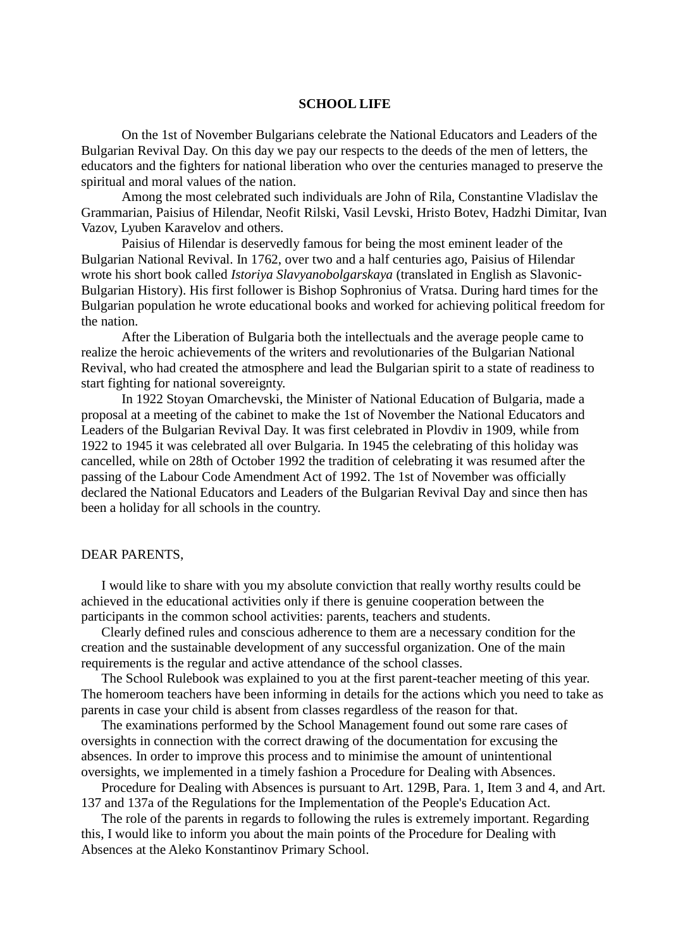#### **SCHOOL LIFE**

On the 1st of November Bulgarians celebrate the National Educators and Leaders of the Bulgarian Revival Day. On this day we pay our respects to the deeds of the men of letters, the educators and the fighters for national liberation who over the centuries managed to preserve the spiritual and moral values of the nation.

Among the most celebrated such individuals are John of Rila, Constantine Vladislav the Grammarian, Paisius of Hilendar, Neofit Rilski, Vasil Levski, Hristo Botev, Hadzhi Dimitar, Ivan Vazov, Lyuben Karavelov and others.

Paisius of Hilendar is deservedly famous for being the most eminent leader of the Bulgarian National Revival. In 1762, over two and a half centuries ago, Paisius of Hilendar wrote his short book called *Istoriya Slavyanobolgarskaya* (translated in English as Slavonic-Bulgarian History). His first follower is Bishop Sophronius of Vratsa. During hard times for the Bulgarian population he wrote educational books and worked for achieving political freedom for the nation.

After the Liberation of Bulgaria both the intellectuals and the average people came to realize the heroic achievements of the writers and revolutionaries of the Bulgarian National Revival, who had created the atmosphere and lead the Bulgarian spirit to a state of readiness to start fighting for national sovereignty.

In 1922 Stoyan Omarchevski, the Minister of National Education of Bulgaria, made a proposal at a meeting of the cabinet to make the 1st of November the National Educators and Leaders of the Bulgarian Revival Day. It was first celebrated in Plovdiv in 1909, while from 1922 to 1945 it was celebrated all over Bulgaria. In 1945 the celebrating of this holiday was cancelled, while on 28th of October 1992 the tradition of celebrating it was resumed after the passing of the Labour Code Amendment Act of 1992. The 1st of November was officially declared the National Educators and Leaders of the Bulgarian Revival Day and since then has been a holiday for all schools in the country.

#### DEAR PARENTS,

I would like to share with you my absolute conviction that really worthy results could be achieved in the educational activities only if there is genuine cooperation between the participants in the common school activities: parents, teachers and students.

Clearly defined rules and conscious adherence to them are a necessary condition for the creation and the sustainable development of any successful organization. One of the main requirements is the regular and active attendance of the school classes.

The School Rulebook was explained to you at the first parent-teacher meeting of this year. The homeroom teachers have been informing in details for the actions which you need to take as parents in case your child is absent from classes regardless of the reason for that.

The examinations performed by the School Management found out some rare cases of oversights in connection with the correct drawing of the documentation for excusing the absences. In order to improve this process and to minimise the amount of unintentional oversights, we implemented in a timely fashion a Procedure for Dealing with Absences.

Procedure for Dealing with Absences is pursuant to Art. 129B, Para. 1, Item 3 and 4, and Art. 137 and 137a of the Regulations for the Implementation of the People's Education Act.

The role of the parents in regards to following the rules is extremely important. Regarding this, I would like to inform you about the main points of the Procedure for Dealing with Absences at the Aleko Konstantinov Primary School.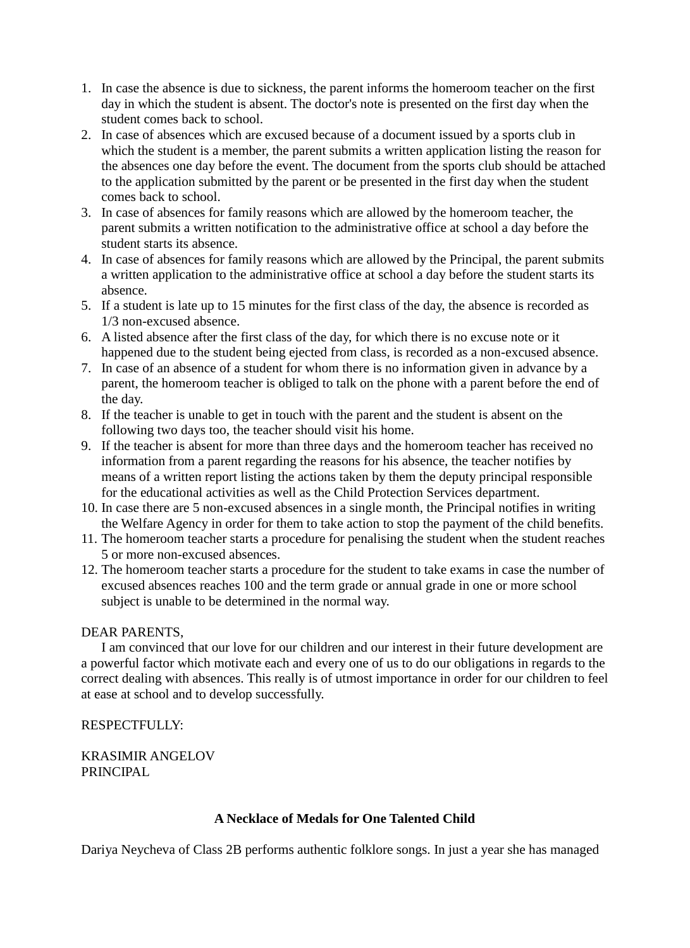- 1. In case the absence is due to sickness, the parent informs the homeroom teacher on the first day in which the student is absent. The doctor's note is presented on the first day when the student comes back to school.
- 2. In case of absences which are excused because of a document issued by a sports club in which the student is a member, the parent submits a written application listing the reason for the absences one day before the event. The document from the sports club should be attached to the application submitted by the parent or be presented in the first day when the student comes back to school.
- 3. In case of absences for family reasons which are allowed by the homeroom teacher, the parent submits a written notification to the administrative office at school a day before the student starts its absence.
- 4. In case of absences for family reasons which are allowed by the Principal, the parent submits a written application to the administrative office at school a day before the student starts its absence.
- 5. If a student is late up to 15 minutes for the first class of the day, the absence is recorded as 1/3 non-excused absence.
- 6. A listed absence after the first class of the day, for which there is no excuse note or it happened due to the student being ejected from class, is recorded as a non-excused absence.
- 7. In case of an absence of a student for whom there is no information given in advance by a parent, the homeroom teacher is obliged to talk on the phone with a parent before the end of the day.
- 8. If the teacher is unable to get in touch with the parent and the student is absent on the following two days too, the teacher should visit his home.
- 9. If the teacher is absent for more than three days and the homeroom teacher has received no information from a parent regarding the reasons for his absence, the teacher notifies by means of a written report listing the actions taken by them the deputy principal responsible for the educational activities as well as the Child Protection Services department.
- 10. In case there are 5 non-excused absences in a single month, the Principal notifies in writing the Welfare Agency in order for them to take action to stop the payment of the child benefits.
- 11. The homeroom teacher starts a procedure for penalising the student when the student reaches 5 or more non-excused absences.
- 12. The homeroom teacher starts a procedure for the student to take exams in case the number of excused absences reaches 100 and the term grade or annual grade in one or more school subject is unable to be determined in the normal way.

# DEAR PARENTS,

I am convinced that our love for our children and our interest in their future development are a powerful factor which motivate each and every one of us to do our obligations in regards to the correct dealing with absences. This really is of utmost importance in order for our children to feel at ease at school and to develop successfully.

### RESPECTFULLY:

KRASIMIR ANGELOV PRINCIPAL

# **A Necklace of Medals for One Talented Child**

Dariya Neycheva of Class 2B performs authentic folklore songs. In just a year she has managed